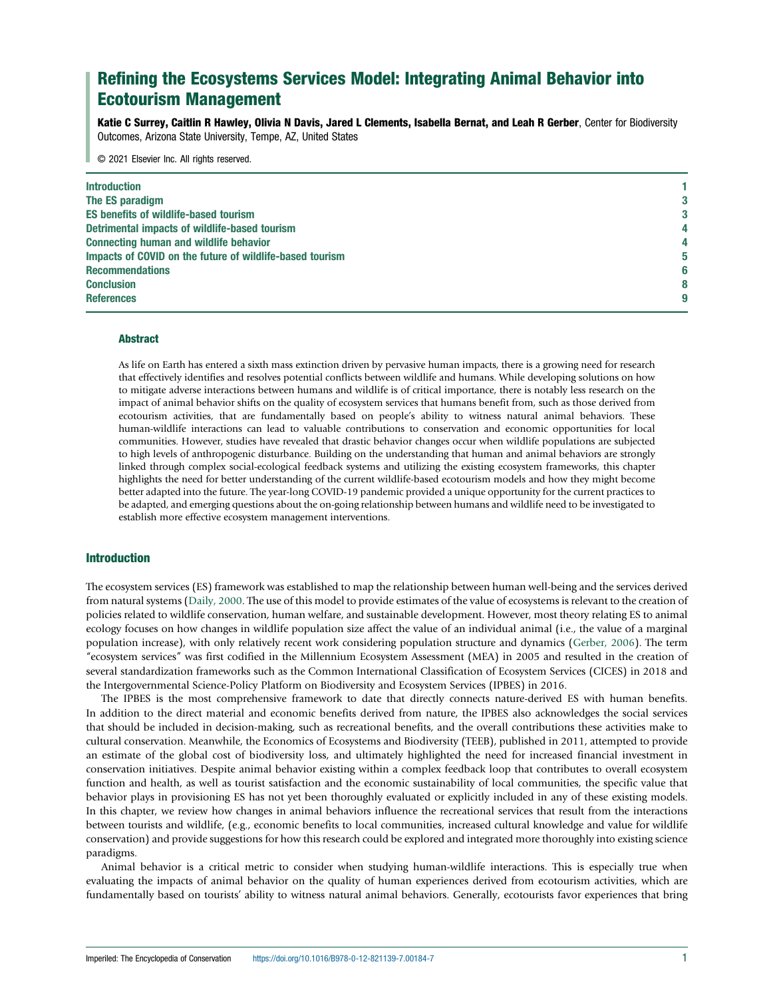# Refining the Ecosystems Services Model: Integrating Animal Behavior into Ecotourism Management

Katie C Surrey, Caitlin R Hawley, Olivia N Davis, Jared L Clements, Isabella Bernat, and Leah R Gerber, Center for Biodiversity Outcomes, Arizona State University, Tempe, AZ, United States

© 2021 Elsevier Inc. All rights reserved.

| <b>Introduction</b>                                      |  |
|----------------------------------------------------------|--|
| The ES paradigm                                          |  |
| <b>ES benefits of wildlife-based tourism</b>             |  |
| Detrimental impacts of wildlife-based tourism            |  |
| <b>Connecting human and wildlife behavior</b>            |  |
| Impacts of COVID on the future of wildlife-based tourism |  |
| <b>Recommendations</b>                                   |  |
| <b>Conclusion</b>                                        |  |
| <b>References</b>                                        |  |

## Abstract

As life on Earth has entered a sixth mass extinction driven by pervasive human impacts, there is a growing need for research that effectively identifies and resolves potential conflicts between wildlife and humans. While developing solutions on how to mitigate adverse interactions between humans and wildlife is of critical importance, there is notably less research on the impact of animal behavior shifts on the quality of ecosystem services that humans benefit from, such as those derived from ecotourism activities, that are fundamentally based on people's ability to witness natural animal behaviors. These human-wildlife interactions can lead to valuable contributions to conservation and economic opportunities for local communities. However, studies have revealed that drastic behavior changes occur when wildlife populations are subjected to high levels of anthropogenic disturbance. Building on the understanding that human and animal behaviors are strongly linked through complex social-ecological feedback systems and utilizing the existing ecosystem frameworks, this chapter highlights the need for better understanding of the current wildlife-based ecotourism models and how they might become better adapted into the future. The year-long COVID-19 pandemic provided a unique opportunity for the current practices to be adapted, and emerging questions about the on-going relationship between humans and wildlife need to be investigated to establish more effective ecosystem management interventions.

## Introduction

The ecosystem services (ES) framework was established to map the relationship between human well-being and the services derived from natural systems ([Daily, 2000.](#page-8-0) The use of this model to provide estimates of the value of ecosystems is relevant to the creation of policies related to wildlife conservation, human welfare, and sustainable development. However, most theory relating ES to animal ecology focuses on how changes in wildlife population size affect the value of an individual animal (i.e., the value of a marginal population increase), with only relatively recent work considering population structure and dynamics [\(Gerber, 2006\)](#page-8-0). The term "ecosystem services" was first codified in the Millennium Ecosystem Assessment (MEA) in 2005 and resulted in the creation of several standardization frameworks such as the Common International Classification of Ecosystem Services (CICES) in 2018 and the Intergovernmental Science-Policy Platform on Biodiversity and Ecosystem Services (IPBES) in 2016.

The IPBES is the most comprehensive framework to date that directly connects nature-derived ES with human benefits. In addition to the direct material and economic benefits derived from nature, the IPBES also acknowledges the social services that should be included in decision-making, such as recreational benefits, and the overall contributions these activities make to cultural conservation. Meanwhile, the Economics of Ecosystems and Biodiversity (TEEB), published in 2011, attempted to provide an estimate of the global cost of biodiversity loss, and ultimately highlighted the need for increased financial investment in conservation initiatives. Despite animal behavior existing within a complex feedback loop that contributes to overall ecosystem function and health, as well as tourist satisfaction and the economic sustainability of local communities, the specific value that behavior plays in provisioning ES has not yet been thoroughly evaluated or explicitly included in any of these existing models. In this chapter, we review how changes in animal behaviors influence the recreational services that result from the interactions between tourists and wildlife, (e.g., economic benefits to local communities, increased cultural knowledge and value for wildlife conservation) and provide suggestions for how this research could be explored and integrated more thoroughly into existing science paradigms.

Animal behavior is a critical metric to consider when studying human-wildlife interactions. This is especially true when evaluating the impacts of animal behavior on the quality of human experiences derived from ecotourism activities, which are fundamentally based on tourists' ability to witness natural animal behaviors. Generally, ecotourists favor experiences that bring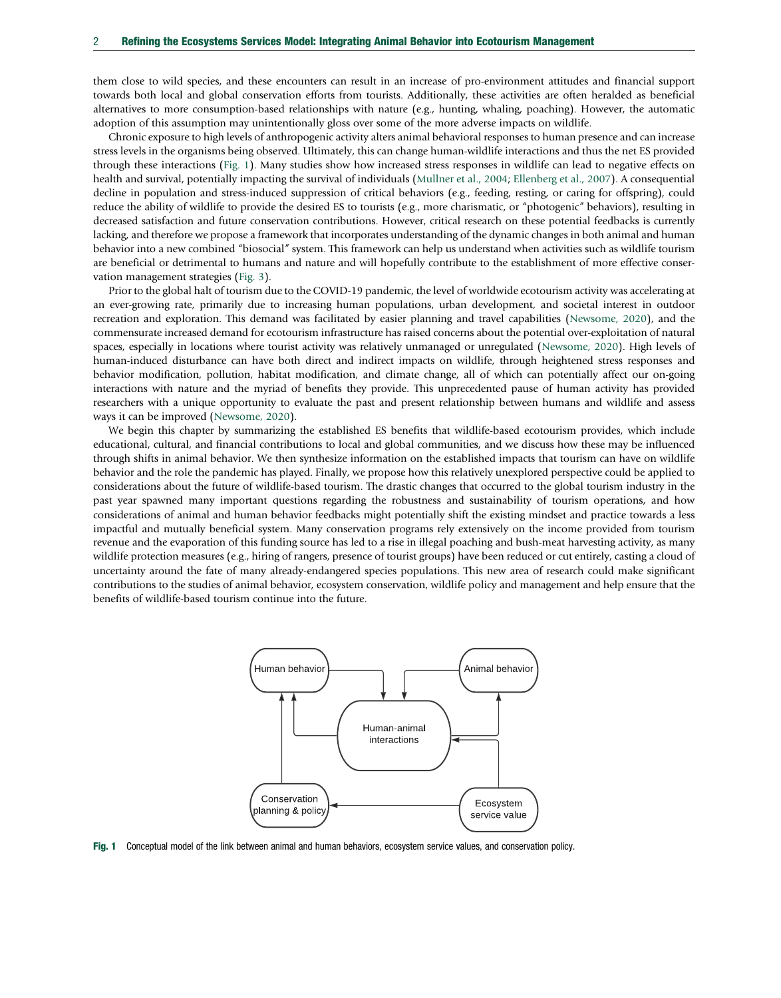<span id="page-1-0"></span>them close to wild species, and these encounters can result in an increase of pro-environment attitudes and financial support towards both local and global conservation efforts from tourists. Additionally, these activities are often heralded as beneficial alternatives to more consumption-based relationships with nature (e.g., hunting, whaling, poaching). However, the automatic adoption of this assumption may unintentionally gloss over some of the more adverse impacts on wildlife.

Chronic exposure to high levels of anthropogenic activity alters animal behavioral responses to human presence and can increase stress levels in the organisms being observed. Ultimately, this can change human-wildlife interactions and thus the net ES provided through these interactions (Fig. 1). Many studies show how increased stress responses in wildlife can lead to negative effects on health and survival, potentially impacting the survival of individuals ([Mullner et al., 2004](#page-8-0); [Ellenberg et al., 2007](#page-8-0)). A consequential decline in population and stress-induced suppression of critical behaviors (e.g., feeding, resting, or caring for offspring), could reduce the ability of wildlife to provide the desired ES to tourists (e.g., more charismatic, or "photogenic" behaviors), resulting in decreased satisfaction and future conservation contributions. However, critical research on these potential feedbacks is currently lacking, and therefore we propose a framework that incorporates understanding of the dynamic changes in both animal and human behavior into a new combined "biosocial" system. This framework can help us understand when activities such as wildlife tourism are beneficial or detrimental to humans and nature and will hopefully contribute to the establishment of more effective conservation management strategies [\(Fig. 3](#page-7-0)).

Prior to the global halt of tourism due to the COVID-19 pandemic, the level of worldwide ecotourism activity was accelerating at an ever-growing rate, primarily due to increasing human populations, urban development, and societal interest in outdoor recreation and exploration. This demand was facilitated by easier planning and travel capabilities ([Newsome, 2020](#page-8-0)), and the commensurate increased demand for ecotourism infrastructure has raised concerns about the potential over-exploitation of natural spaces, especially in locations where tourist activity was relatively unmanaged or unregulated ([Newsome, 2020\)](#page-8-0). High levels of human-induced disturbance can have both direct and indirect impacts on wildlife, through heightened stress responses and behavior modification, pollution, habitat modification, and climate change, all of which can potentially affect our on-going interactions with nature and the myriad of benefits they provide. This unprecedented pause of human activity has provided researchers with a unique opportunity to evaluate the past and present relationship between humans and wildlife and assess ways it can be improved ([Newsome, 2020](#page-8-0)).

We begin this chapter by summarizing the established ES benefits that wildlife-based ecotourism provides, which include educational, cultural, and financial contributions to local and global communities, and we discuss how these may be influenced through shifts in animal behavior. We then synthesize information on the established impacts that tourism can have on wildlife behavior and the role the pandemic has played. Finally, we propose how this relatively unexplored perspective could be applied to considerations about the future of wildlife-based tourism. The drastic changes that occurred to the global tourism industry in the past year spawned many important questions regarding the robustness and sustainability of tourism operations, and how considerations of animal and human behavior feedbacks might potentially shift the existing mindset and practice towards a less impactful and mutually beneficial system. Many conservation programs rely extensively on the income provided from tourism revenue and the evaporation of this funding source has led to a rise in illegal poaching and bush-meat harvesting activity, as many wildlife protection measures (e.g., hiring of rangers, presence of tourist groups) have been reduced or cut entirely, casting a cloud of uncertainty around the fate of many already-endangered species populations. This new area of research could make significant contributions to the studies of animal behavior, ecosystem conservation, wildlife policy and management and help ensure that the benefits of wildlife-based tourism continue into the future.



Fig. 1 Conceptual model of the link between animal and human behaviors, ecosystem service values, and conservation policy.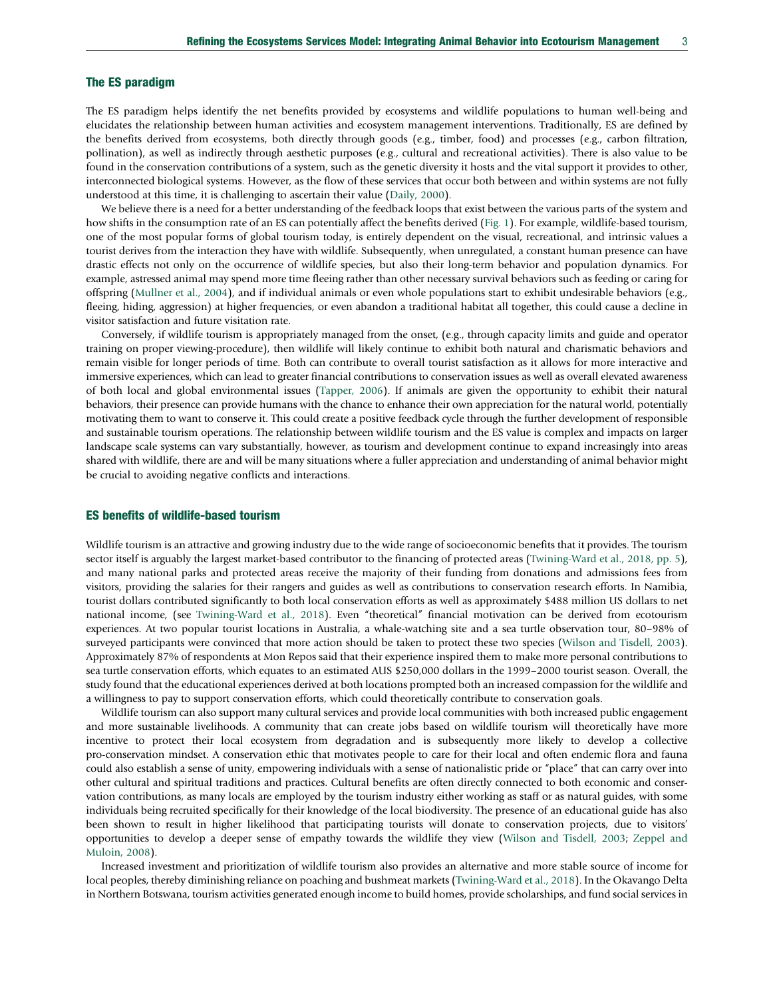## The ES paradigm

The ES paradigm helps identify the net benefits provided by ecosystems and wildlife populations to human well-being and elucidates the relationship between human activities and ecosystem management interventions. Traditionally, ES are defined by the benefits derived from ecosystems, both directly through goods (e.g., timber, food) and processes (e.g., carbon filtration, pollination), as well as indirectly through aesthetic purposes (e.g., cultural and recreational activities). There is also value to be found in the conservation contributions of a system, such as the genetic diversity it hosts and the vital support it provides to other, interconnected biological systems. However, as the flow of these services that occur both between and within systems are not fully understood at this time, it is challenging to ascertain their value ([Daily, 2000](#page-8-0)).

We believe there is a need for a better understanding of the feedback loops that exist between the various parts of the system and how shifts in the consumption rate of an ES can potentially affect the benefits derived ([Fig. 1\)](#page-1-0). For example, wildlife-based tourism, one of the most popular forms of global tourism today, is entirely dependent on the visual, recreational, and intrinsic values a tourist derives from the interaction they have with wildlife. Subsequently, when unregulated, a constant human presence can have drastic effects not only on the occurrence of wildlife species, but also their long-term behavior and population dynamics. For example, astressed animal may spend more time fleeing rather than other necessary survival behaviors such as feeding or caring for offspring [\(Mullner et al., 2004\)](#page-8-0), and if individual animals or even whole populations start to exhibit undesirable behaviors (e.g., fleeing, hiding, aggression) at higher frequencies, or even abandon a traditional habitat all together, this could cause a decline in visitor satisfaction and future visitation rate.

Conversely, if wildlife tourism is appropriately managed from the onset, (e.g., through capacity limits and guide and operator training on proper viewing-procedure), then wildlife will likely continue to exhibit both natural and charismatic behaviors and remain visible for longer periods of time. Both can contribute to overall tourist satisfaction as it allows for more interactive and immersive experiences, which can lead to greater financial contributions to conservation issues as well as overall elevated awareness of both local and global environmental issues ([Tapper, 2006](#page-8-0)). If animals are given the opportunity to exhibit their natural behaviors, their presence can provide humans with the chance to enhance their own appreciation for the natural world, potentially motivating them to want to conserve it. This could create a positive feedback cycle through the further development of responsible and sustainable tourism operations. The relationship between wildlife tourism and the ES value is complex and impacts on larger landscape scale systems can vary substantially, however, as tourism and development continue to expand increasingly into areas shared with wildlife, there are and will be many situations where a fuller appreciation and understanding of animal behavior might be crucial to avoiding negative conflicts and interactions.

#### ES benefits of wildlife-based tourism

Wildlife tourism is an attractive and growing industry due to the wide range of socioeconomic benefits that it provides. The tourism sector itself is arguably the largest market-based contributor to the financing of protected areas ([Twining-Ward et al., 2018, pp. 5\)](#page-8-0), and many national parks and protected areas receive the majority of their funding from donations and admissions fees from visitors, providing the salaries for their rangers and guides as well as contributions to conservation research efforts. In Namibia, tourist dollars contributed significantly to both local conservation efforts as well as approximately \$488 million US dollars to net national income, (see [Twining-Ward et al., 2018](#page-8-0)). Even "theoretical" financial motivation can be derived from ecotourism experiences. At two popular tourist locations in Australia, a whale-watching site and a sea turtle observation tour, 80–98% of surveyed participants were convinced that more action should be taken to protect these two species ([Wilson and Tisdell, 2003\)](#page-8-0). Approximately 87% of respondents at Mon Repos said that their experience inspired them to make more personal contributions to sea turtle conservation efforts, which equates to an estimated AUS \$250,000 dollars in the 1999–2000 tourist season. Overall, the study found that the educational experiences derived at both locations prompted both an increased compassion for the wildlife and a willingness to pay to support conservation efforts, which could theoretically contribute to conservation goals.

Wildlife tourism can also support many cultural services and provide local communities with both increased public engagement and more sustainable livelihoods. A community that can create jobs based on wildlife tourism will theoretically have more incentive to protect their local ecosystem from degradation and is subsequently more likely to develop a collective pro-conservation mindset. A conservation ethic that motivates people to care for their local and often endemic flora and fauna could also establish a sense of unity, empowering individuals with a sense of nationalistic pride or "place" that can carry over into other cultural and spiritual traditions and practices. Cultural benefits are often directly connected to both economic and conservation contributions, as many locals are employed by the tourism industry either working as staff or as natural guides, with some individuals being recruited specifically for their knowledge of the local biodiversity. The presence of an educational guide has also been shown to result in higher likelihood that participating tourists will donate to conservation projects, due to visitors' opportunities to develop a deeper sense of empathy towards the wildlife they view [\(Wilson and Tisdell, 2003;](#page-8-0) [Zeppel and](#page-8-0) [Muloin, 2008\)](#page-8-0).

Increased investment and prioritization of wildlife tourism also provides an alternative and more stable source of income for local peoples, thereby diminishing reliance on poaching and bushmeat markets ([Twining-Ward et al., 2018\)](#page-8-0). In the Okavango Delta in Northern Botswana, tourism activities generated enough income to build homes, provide scholarships, and fund social services in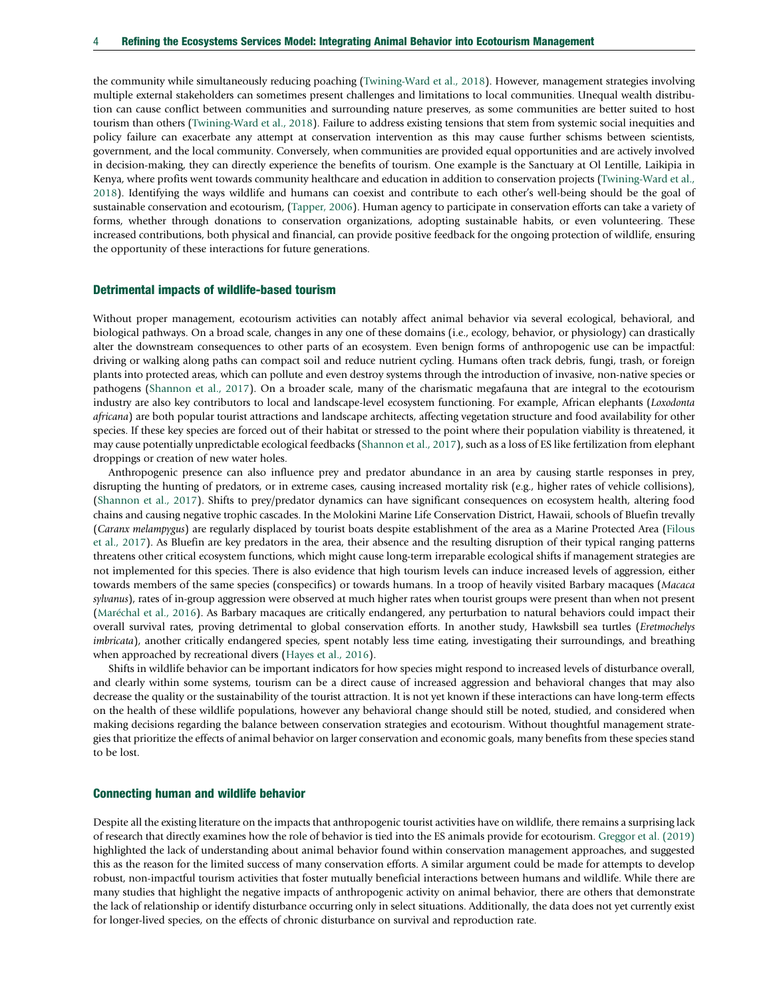the community while simultaneously reducing poaching [\(Twining-Ward et al., 2018](#page-8-0)). However, management strategies involving multiple external stakeholders can sometimes present challenges and limitations to local communities. Unequal wealth distribution can cause conflict between communities and surrounding nature preserves, as some communities are better suited to host tourism than others ([Twining-Ward et al., 2018](#page-8-0)). Failure to address existing tensions that stem from systemic social inequities and policy failure can exacerbate any attempt at conservation intervention as this may cause further schisms between scientists, government, and the local community. Conversely, when communities are provided equal opportunities and are actively involved in decision-making, they can directly experience the benefits of tourism. One example is the Sanctuary at Ol Lentille, Laikipia in Kenya, where profits went towards community healthcare and education in addition to conservation projects ([Twining-Ward et al.,](#page-8-0) [2018\)](#page-8-0). Identifying the ways wildlife and humans can coexist and contribute to each other's well-being should be the goal of sustainable conservation and ecotourism, ([Tapper, 2006\)](#page-8-0). Human agency to participate in conservation efforts can take a variety of forms, whether through donations to conservation organizations, adopting sustainable habits, or even volunteering. These increased contributions, both physical and financial, can provide positive feedback for the ongoing protection of wildlife, ensuring the opportunity of these interactions for future generations.

#### Detrimental impacts of wildlife-based tourism

Without proper management, ecotourism activities can notably affect animal behavior via several ecological, behavioral, and biological pathways. On a broad scale, changes in any one of these domains (i.e., ecology, behavior, or physiology) can drastically alter the downstream consequences to other parts of an ecosystem. Even benign forms of anthropogenic use can be impactful: driving or walking along paths can compact soil and reduce nutrient cycling. Humans often track debris, fungi, trash, or foreign plants into protected areas, which can pollute and even destroy systems through the introduction of invasive, non-native species or pathogens [\(Shannon et al., 2017](#page-8-0)). On a broader scale, many of the charismatic megafauna that are integral to the ecotourism industry are also key contributors to local and landscape-level ecosystem functioning. For example, African elephants (Loxodonta africana) are both popular tourist attractions and landscape architects, affecting vegetation structure and food availability for other species. If these key species are forced out of their habitat or stressed to the point where their population viability is threatened, it may cause potentially unpredictable ecological feedbacks ([Shannon et al., 2017\)](#page-8-0), such as a loss of ES like fertilization from elephant droppings or creation of new water holes.

Anthropogenic presence can also influence prey and predator abundance in an area by causing startle responses in prey, disrupting the hunting of predators, or in extreme cases, causing increased mortality risk (e.g., higher rates of vehicle collisions), ([Shannon et al., 2017\)](#page-8-0). Shifts to prey/predator dynamics can have significant consequences on ecosystem health, altering food chains and causing negative trophic cascades. In the Molokini Marine Life Conservation District, Hawaii, schools of Bluefin trevally (Caranx melampygus) are regularly displaced by tourist boats despite establishment of the area as a Marine Protected Area ([Filous](#page-8-0) [et al., 2017\)](#page-8-0). As Bluefin are key predators in the area, their absence and the resulting disruption of their typical ranging patterns threatens other critical ecosystem functions, which might cause long-term irreparable ecological shifts if management strategies are not implemented for this species. There is also evidence that high tourism levels can induce increased levels of aggression, either towards members of the same species (conspecifics) or towards humans. In a troop of heavily visited Barbary macaques (Macaca sylvanus), rates of in-group aggression were observed at much higher rates when tourist groups were present than when not present ([Maréchal et al., 2016\)](#page-8-0). As Barbary macaques are critically endangered, any perturbation to natural behaviors could impact their overall survival rates, proving detrimental to global conservation efforts. In another study, Hawksbill sea turtles (Eretmochelys imbricata), another critically endangered species, spent notably less time eating, investigating their surroundings, and breathing when approached by recreational divers [\(Hayes et al., 2016](#page-8-0)).

Shifts in wildlife behavior can be important indicators for how species might respond to increased levels of disturbance overall, and clearly within some systems, tourism can be a direct cause of increased aggression and behavioral changes that may also decrease the quality or the sustainability of the tourist attraction. It is not yet known if these interactions can have long-term effects on the health of these wildlife populations, however any behavioral change should still be noted, studied, and considered when making decisions regarding the balance between conservation strategies and ecotourism. Without thoughtful management strategies that prioritize the effects of animal behavior on larger conservation and economic goals, many benefits from these species stand to be lost.

#### Connecting human and wildlife behavior

Despite all the existing literature on the impacts that anthropogenic tourist activities have on wildlife, there remains a surprising lack of research that directly examines how the role of behavior is tied into the ES animals provide for ecotourism. [Greggor et al. \(2019\)](#page-8-0) highlighted the lack of understanding about animal behavior found within conservation management approaches, and suggested this as the reason for the limited success of many conservation efforts. A similar argument could be made for attempts to develop robust, non-impactful tourism activities that foster mutually beneficial interactions between humans and wildlife. While there are many studies that highlight the negative impacts of anthropogenic activity on animal behavior, there are others that demonstrate the lack of relationship or identify disturbance occurring only in select situations. Additionally, the data does not yet currently exist for longer-lived species, on the effects of chronic disturbance on survival and reproduction rate.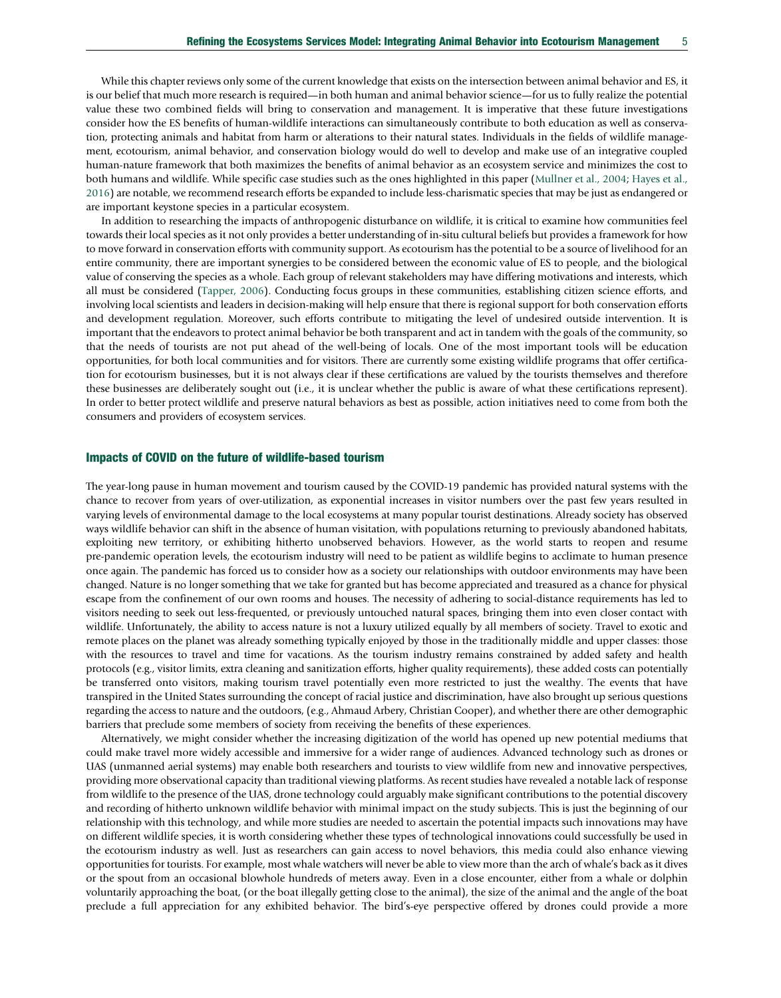While this chapter reviews only some of the current knowledge that exists on the intersection between animal behavior and ES, it is our belief that much more research is required—in both human and animal behavior science—for us to fully realize the potential value these two combined fields will bring to conservation and management. It is imperative that these future investigations consider how the ES benefits of human-wildlife interactions can simultaneously contribute to both education as well as conservation, protecting animals and habitat from harm or alterations to their natural states. Individuals in the fields of wildlife management, ecotourism, animal behavior, and conservation biology would do well to develop and make use of an integrative coupled human-nature framework that both maximizes the benefits of animal behavior as an ecosystem service and minimizes the cost to both humans and wildlife. While specific case studies such as the ones highlighted in this paper ([Mullner et al., 2004](#page-8-0); [Hayes et al.,](#page-8-0) [2016](#page-8-0)) are notable, we recommend research efforts be expanded to include less-charismatic species that may be just as endangered or are important keystone species in a particular ecosystem.

In addition to researching the impacts of anthropogenic disturbance on wildlife, it is critical to examine how communities feel towards their local species as it not only provides a better understanding of in-situ cultural beliefs but provides a framework for how to move forward in conservation efforts with community support. As ecotourism has the potential to be a source of livelihood for an entire community, there are important synergies to be considered between the economic value of ES to people, and the biological value of conserving the species as a whole. Each group of relevant stakeholders may have differing motivations and interests, which all must be considered [\(Tapper, 2006\)](#page-8-0). Conducting focus groups in these communities, establishing citizen science efforts, and involving local scientists and leaders in decision-making will help ensure that there is regional support for both conservation efforts and development regulation. Moreover, such efforts contribute to mitigating the level of undesired outside intervention. It is important that the endeavors to protect animal behavior be both transparent and act in tandem with the goals of the community, so that the needs of tourists are not put ahead of the well-being of locals. One of the most important tools will be education opportunities, for both local communities and for visitors. There are currently some existing wildlife programs that offer certification for ecotourism businesses, but it is not always clear if these certifications are valued by the tourists themselves and therefore these businesses are deliberately sought out (i.e., it is unclear whether the public is aware of what these certifications represent). In order to better protect wildlife and preserve natural behaviors as best as possible, action initiatives need to come from both the consumers and providers of ecosystem services.

### Impacts of COVID on the future of wildlife-based tourism

The year-long pause in human movement and tourism caused by the COVID-19 pandemic has provided natural systems with the chance to recover from years of over-utilization, as exponential increases in visitor numbers over the past few years resulted in varying levels of environmental damage to the local ecosystems at many popular tourist destinations. Already society has observed ways wildlife behavior can shift in the absence of human visitation, with populations returning to previously abandoned habitats, exploiting new territory, or exhibiting hitherto unobserved behaviors. However, as the world starts to reopen and resume pre-pandemic operation levels, the ecotourism industry will need to be patient as wildlife begins to acclimate to human presence once again. The pandemic has forced us to consider how as a society our relationships with outdoor environments may have been changed. Nature is no longer something that we take for granted but has become appreciated and treasured as a chance for physical escape from the confinement of our own rooms and houses. The necessity of adhering to social-distance requirements has led to visitors needing to seek out less-frequented, or previously untouched natural spaces, bringing them into even closer contact with wildlife. Unfortunately, the ability to access nature is not a luxury utilized equally by all members of society. Travel to exotic and remote places on the planet was already something typically enjoyed by those in the traditionally middle and upper classes: those with the resources to travel and time for vacations. As the tourism industry remains constrained by added safety and health protocols (e.g., visitor limits, extra cleaning and sanitization efforts, higher quality requirements), these added costs can potentially be transferred onto visitors, making tourism travel potentially even more restricted to just the wealthy. The events that have transpired in the United States surrounding the concept of racial justice and discrimination, have also brought up serious questions regarding the access to nature and the outdoors, (e.g., Ahmaud Arbery, Christian Cooper), and whether there are other demographic barriers that preclude some members of society from receiving the benefits of these experiences.

Alternatively, we might consider whether the increasing digitization of the world has opened up new potential mediums that could make travel more widely accessible and immersive for a wider range of audiences. Advanced technology such as drones or UAS (unmanned aerial systems) may enable both researchers and tourists to view wildlife from new and innovative perspectives, providing more observational capacity than traditional viewing platforms. As recent studies have revealed a notable lack of response from wildlife to the presence of the UAS, drone technology could arguably make significant contributions to the potential discovery and recording of hitherto unknown wildlife behavior with minimal impact on the study subjects. This is just the beginning of our relationship with this technology, and while more studies are needed to ascertain the potential impacts such innovations may have on different wildlife species, it is worth considering whether these types of technological innovations could successfully be used in the ecotourism industry as well. Just as researchers can gain access to novel behaviors, this media could also enhance viewing opportunities for tourists. For example, most whale watchers will never be able to view more than the arch of whale's back as it dives or the spout from an occasional blowhole hundreds of meters away. Even in a close encounter, either from a whale or dolphin voluntarily approaching the boat, (or the boat illegally getting close to the animal), the size of the animal and the angle of the boat preclude a full appreciation for any exhibited behavior. The bird's-eye perspective offered by drones could provide a more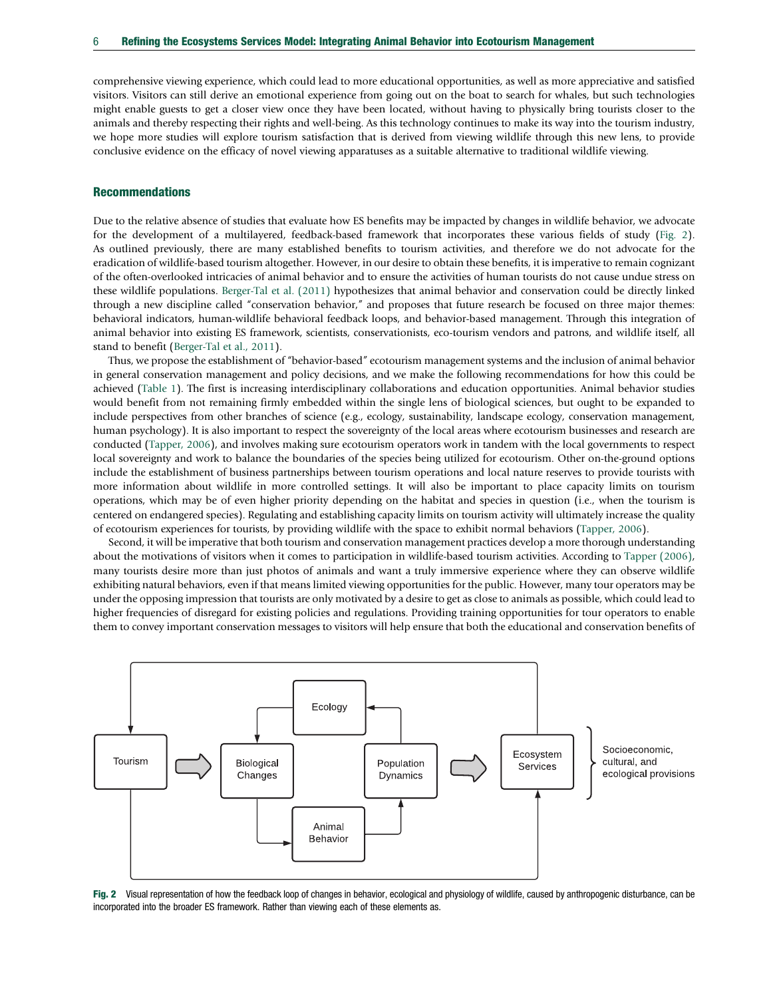comprehensive viewing experience, which could lead to more educational opportunities, as well as more appreciative and satisfied visitors. Visitors can still derive an emotional experience from going out on the boat to search for whales, but such technologies might enable guests to get a closer view once they have been located, without having to physically bring tourists closer to the animals and thereby respecting their rights and well-being. As this technology continues to make its way into the tourism industry, we hope more studies will explore tourism satisfaction that is derived from viewing wildlife through this new lens, to provide conclusive evidence on the efficacy of novel viewing apparatuses as a suitable alternative to traditional wildlife viewing.

## Recommendations

Due to the relative absence of studies that evaluate how ES benefits may be impacted by changes in wildlife behavior, we advocate for the development of a multilayered, feedback-based framework that incorporates these various fields of study (Fig. 2). As outlined previously, there are many established benefits to tourism activities, and therefore we do not advocate for the eradication of wildlife-based tourism altogether. However, in our desire to obtain these benefits, it is imperative to remain cognizant of the often-overlooked intricacies of animal behavior and to ensure the activities of human tourists do not cause undue stress on these wildlife populations. [Berger-Tal et al. \(2011\)](#page-8-0) hypothesizes that animal behavior and conservation could be directly linked through a new discipline called "conservation behavior," and proposes that future research be focused on three major themes: behavioral indicators, human-wildlife behavioral feedback loops, and behavior-based management. Through this integration of animal behavior into existing ES framework, scientists, conservationists, eco-tourism vendors and patrons, and wildlife itself, all stand to benefit [\(Berger-Tal et al., 2011\)](#page-8-0).

Thus, we propose the establishment of "behavior-based" ecotourism management systems and the inclusion of animal behavior in general conservation management and policy decisions, and we make the following recommendations for how this could be achieved [\(Table 1](#page-6-0)). The first is increasing interdisciplinary collaborations and education opportunities. Animal behavior studies would benefit from not remaining firmly embedded within the single lens of biological sciences, but ought to be expanded to include perspectives from other branches of science (e.g., ecology, sustainability, landscape ecology, conservation management, human psychology). It is also important to respect the sovereignty of the local areas where ecotourism businesses and research are conducted ([Tapper, 2006](#page-8-0)), and involves making sure ecotourism operators work in tandem with the local governments to respect local sovereignty and work to balance the boundaries of the species being utilized for ecotourism. Other on-the-ground options include the establishment of business partnerships between tourism operations and local nature reserves to provide tourists with more information about wildlife in more controlled settings. It will also be important to place capacity limits on tourism operations, which may be of even higher priority depending on the habitat and species in question (i.e., when the tourism is centered on endangered species). Regulating and establishing capacity limits on tourism activity will ultimately increase the quality of ecotourism experiences for tourists, by providing wildlife with the space to exhibit normal behaviors [\(Tapper, 2006](#page-8-0)).

Second, it will be imperative that both tourism and conservation management practices develop a more thorough understanding about the motivations of visitors when it comes to participation in wildlife-based tourism activities. According to [Tapper \(2006\),](#page-8-0) many tourists desire more than just photos of animals and want a truly immersive experience where they can observe wildlife exhibiting natural behaviors, even if that means limited viewing opportunities for the public. However, many tour operators may be under the opposing impression that tourists are only motivated by a desire to get as close to animals as possible, which could lead to higher frequencies of disregard for existing policies and regulations. Providing training opportunities for tour operators to enable them to convey important conservation messages to visitors will help ensure that both the educational and conservation benefits of



Fig. 2 Visual representation of how the feedback loop of changes in behavior, ecological and physiology of wildlife, caused by anthropogenic disturbance, can be incorporated into the broader ES framework. Rather than viewing each of these elements as.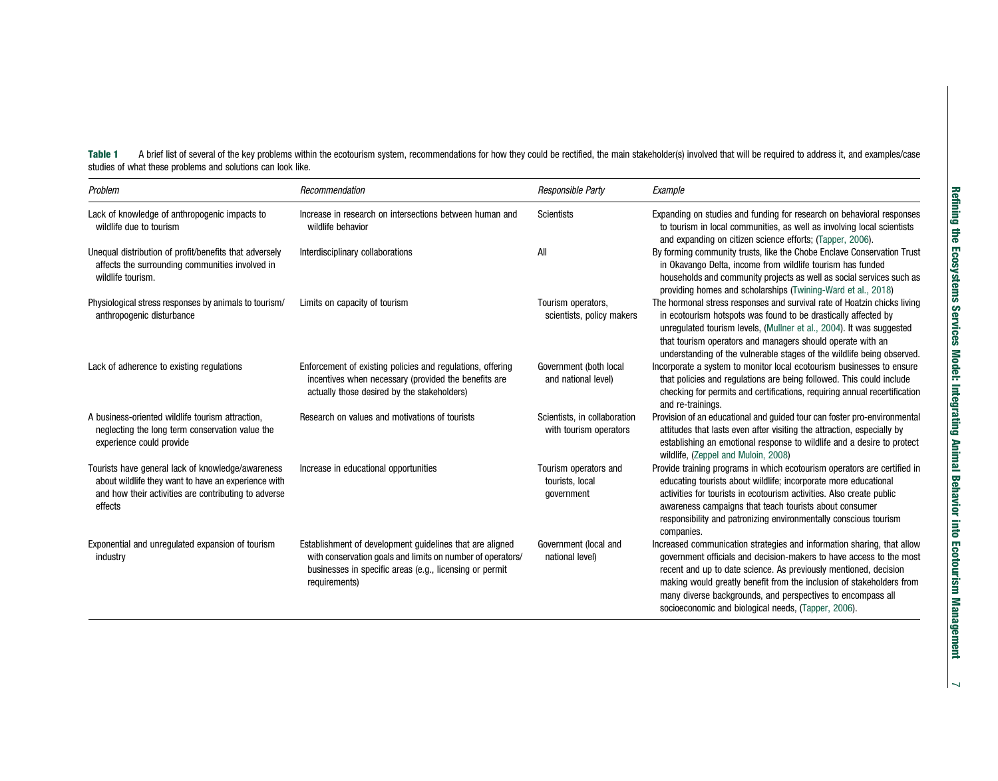<span id="page-6-0"></span>Table 1 A brief list of several of the key problems within the ecotourism system, recommendations for how they could be rectified, the main stakeholder(s) involved that will be required to address it, and examples/case studies of what these problems and solutions can look like.

| Problem                                                                                                                                                                     | Recommendation                                                                                                                                                                                     | Responsible Party                                      | Example                                                                                                                                                                                                                                                                                                                                                                                                         |
|-----------------------------------------------------------------------------------------------------------------------------------------------------------------------------|----------------------------------------------------------------------------------------------------------------------------------------------------------------------------------------------------|--------------------------------------------------------|-----------------------------------------------------------------------------------------------------------------------------------------------------------------------------------------------------------------------------------------------------------------------------------------------------------------------------------------------------------------------------------------------------------------|
| Lack of knowledge of anthropogenic impacts to<br>wildlife due to tourism                                                                                                    | Increase in research on intersections between human and<br>wildlife behavior                                                                                                                       | <b>Scientists</b>                                      | Expanding on studies and funding for research on behavioral responses<br>to tourism in local communities, as well as involving local scientists<br>and expanding on citizen science efforts; (Tapper, 2006).                                                                                                                                                                                                    |
| Unequal distribution of profit/benefits that adversely<br>affects the surrounding communities involved in<br>wildlife tourism.                                              | Interdisciplinary collaborations                                                                                                                                                                   | All                                                    | By forming community trusts, like the Chobe Enclave Conservation Trust<br>in Okavango Delta, income from wildlife tourism has funded<br>households and community projects as well as social services such as<br>providing homes and scholarships (Twining-Ward et al., 2018)                                                                                                                                    |
| Physiological stress responses by animals to tourism/<br>anthropogenic disturbance                                                                                          | Limits on capacity of tourism                                                                                                                                                                      | Tourism operators,<br>scientists, policy makers        | The hormonal stress responses and survival rate of Hoatzin chicks living<br>in ecotourism hotspots was found to be drastically affected by<br>unregulated tourism levels, (Mullner et al., 2004). It was suggested<br>that tourism operators and managers should operate with an<br>understanding of the vulnerable stages of the wildlife being observed.                                                      |
| Lack of adherence to existing regulations                                                                                                                                   | Enforcement of existing policies and regulations, offering<br>incentives when necessary (provided the benefits are<br>actually those desired by the stakeholders)                                  | Government (both local<br>and national level)          | Incorporate a system to monitor local ecotourism businesses to ensure<br>that policies and regulations are being followed. This could include<br>checking for permits and certifications, requiring annual recertification<br>and re-trainings.                                                                                                                                                                 |
| A business-oriented wildlife tourism attraction,<br>neglecting the long term conservation value the<br>experience could provide                                             | Research on values and motivations of tourists                                                                                                                                                     | Scientists, in collaboration<br>with tourism operators | Provision of an educational and guided tour can foster pro-environmental<br>attitudes that lasts even after visiting the attraction, especially by<br>establishing an emotional response to wildlife and a desire to protect<br>wildlife, (Zeppel and Muloin, 2008)                                                                                                                                             |
| Tourists have general lack of knowledge/awareness<br>about wildlife they want to have an experience with<br>and how their activities are contributing to adverse<br>effects | Increase in educational opportunities                                                                                                                                                              | Tourism operators and<br>tourists, local<br>qovernment | Provide training programs in which ecotourism operators are certified in<br>educating tourists about wildlife; incorporate more educational<br>activities for tourists in ecotourism activities. Also create public<br>awareness campaigns that teach tourists about consumer<br>responsibility and patronizing environmentally conscious tourism<br>companies.                                                 |
| Exponential and unregulated expansion of tourism<br>industry                                                                                                                | Establishment of development guidelines that are aligned<br>with conservation goals and limits on number of operators/<br>businesses in specific areas (e.g., licensing or permit<br>requirements) | Government (local and<br>national level)               | Increased communication strategies and information sharing, that allow<br>government officials and decision-makers to have access to the most<br>recent and up to date science. As previously mentioned, decision<br>making would greatly benefit from the inclusion of stakeholders from<br>many diverse backgrounds, and perspectives to encompass all<br>socioeconomic and biological needs, (Tapper, 2006). |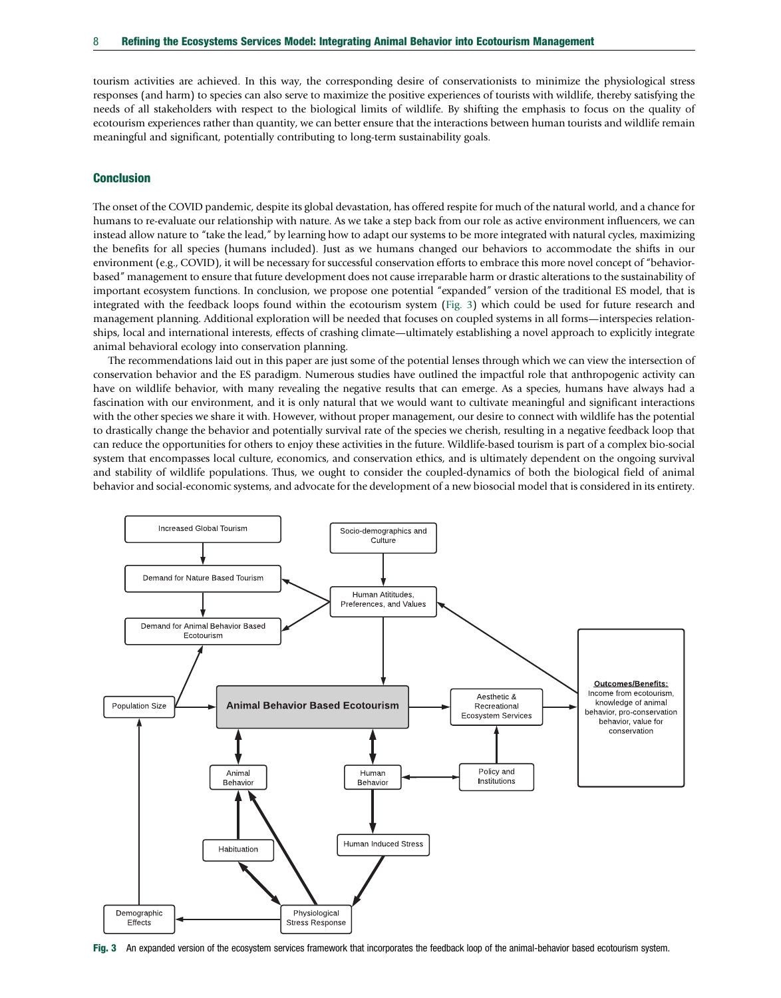<span id="page-7-0"></span>tourism activities are achieved. In this way, the corresponding desire of conservationists to minimize the physiological stress responses (and harm) to species can also serve to maximize the positive experiences of tourists with wildlife, thereby satisfying the needs of all stakeholders with respect to the biological limits of wildlife. By shifting the emphasis to focus on the quality of ecotourism experiences rather than quantity, we can better ensure that the interactions between human tourists and wildlife remain meaningful and significant, potentially contributing to long-term sustainability goals.

# **Conclusion**

The onset of the COVID pandemic, despite its global devastation, has offered respite for much of the natural world, and a chance for humans to re-evaluate our relationship with nature. As we take a step back from our role as active environment influencers, we can instead allow nature to "take the lead," by learning how to adapt our systems to be more integrated with natural cycles, maximizing the benefits for all species (humans included). Just as we humans changed our behaviors to accommodate the shifts in our environment (e.g., COVID), it will be necessary for successful conservation efforts to embrace this more novel concept of "behaviorbased" management to ensure that future development does not cause irreparable harm or drastic alterations to the sustainability of important ecosystem functions. In conclusion, we propose one potential "expanded" version of the traditional ES model, that is integrated with the feedback loops found within the ecotourism system (Fig. 3) which could be used for future research and management planning. Additional exploration will be needed that focuses on coupled systems in all forms—interspecies relationships, local and international interests, effects of crashing climate—ultimately establishing a novel approach to explicitly integrate animal behavioral ecology into conservation planning.

The recommendations laid out in this paper are just some of the potential lenses through which we can view the intersection of conservation behavior and the ES paradigm. Numerous studies have outlined the impactful role that anthropogenic activity can have on wildlife behavior, with many revealing the negative results that can emerge. As a species, humans have always had a fascination with our environment, and it is only natural that we would want to cultivate meaningful and significant interactions with the other species we share it with. However, without proper management, our desire to connect with wildlife has the potential to drastically change the behavior and potentially survival rate of the species we cherish, resulting in a negative feedback loop that can reduce the opportunities for others to enjoy these activities in the future. Wildlife-based tourism is part of a complex bio-social system that encompasses local culture, economics, and conservation ethics, and is ultimately dependent on the ongoing survival and stability of wildlife populations. Thus, we ought to consider the coupled-dynamics of both the biological field of animal behavior and social-economic systems, and advocate for the development of a new biosocial model that is considered in its entirety.



Fig. 3 An expanded version of the ecosystem services framework that incorporates the feedback loop of the animal-behavior based ecotourism system.